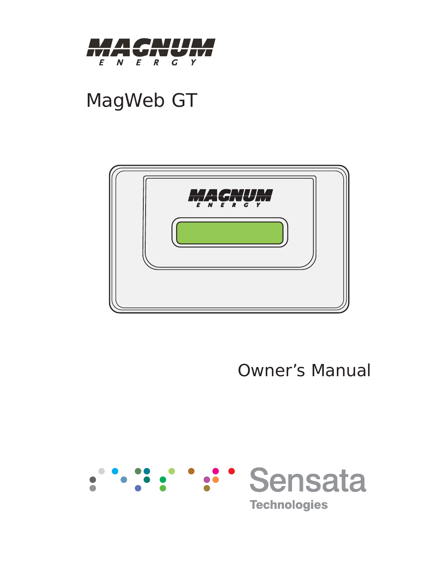

# MagWeb GT



Owner's Manual

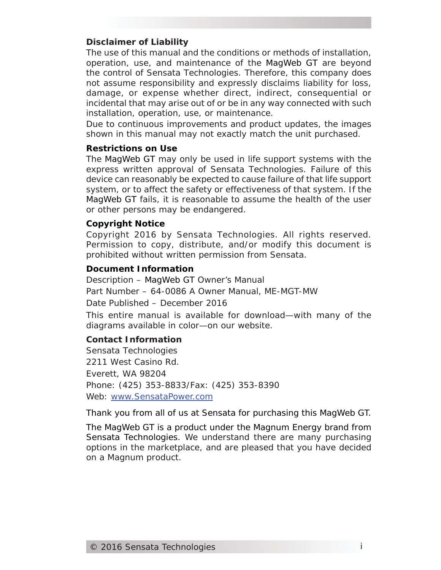#### **Disclaimer of Liability**

The use of this manual and the conditions or methods of installation, operation, use, and maintenance of the MagWeb GT are beyond the control of Sensata Technologies. Therefore, this company does not assume responsibility and expressly disclaims liability for loss, damage, or expense whether direct, indirect, consequential or incidental that may arise out of or be in any way connected with such installation, operation, use, or maintenance.

Due to continuous improvements and product updates, the images shown in this manual may not exactly match the unit purchased.

#### **Restrictions on Use**

The MagWeb GT may only be used in life support systems with the express written approval of Sensata Technologies. Failure of this device can reasonably be expected to cause failure of that life support system, or to affect the safety or effectiveness of that system. If the MagWeb GT fails, it is reasonable to assume the health of the user or other persons may be endangered.

#### **Copyright Notice**

Copyright 2016 by Sensata Technologies. All rights reserved. Permission to copy, distribute, and/or modify this document is prohibited without written permission from Sensata.

#### **Document Information**

Description – MagWeb GT Owner's Manual Part Number – 64-0086 A Owner Manual, ME-MGT-MW Date Published – December 2016

This entire manual is available for download—with many of the diagrams available in color—on our website.

#### **Contact Information**

Sensata Technologies 2211 West Casino Rd. Everett, WA 98204 Phone: (425) 353-8833/Fax: (425) 353-8390 Web: www.SensataPower.com

Thank you from all of us at Sensata for purchasing this MagWeb GT.

The MagWeb GT is a product under the Magnum Energy brand from Sensata Technologies. We understand there are many purchasing options in the marketplace, and are pleased that you have decided on a Magnum product.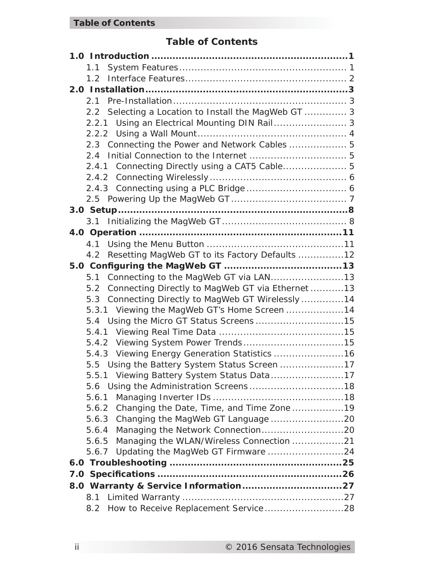# **Table of Contents**

| 1.1                                                  |  |
|------------------------------------------------------|--|
|                                                      |  |
|                                                      |  |
|                                                      |  |
| 2.2 Selecting a Location to Install the MagWeb GT  3 |  |
| 2.2.1 Using an Electrical Mounting DIN Rail 3        |  |
|                                                      |  |
| 2.3 Connecting the Power and Network Cables  5       |  |
|                                                      |  |
| 2.4.1 Connecting Directly using a CAT5 Cable 5       |  |
|                                                      |  |
|                                                      |  |
|                                                      |  |
|                                                      |  |
|                                                      |  |
|                                                      |  |
|                                                      |  |
| 4.2 Resetting MagWeb GT to its Factory Defaults 12   |  |
|                                                      |  |
| 5.1                                                  |  |
| 5.2 Connecting Directly to MagWeb GT via Ethernet 13 |  |
| 5.3 Connecting Directly to MagWeb GT Wirelessly14    |  |
| 5.3.1 Viewing the MagWeb GT's Home Screen 14         |  |
| 5.4 Using the Micro GT Status Screens15              |  |
|                                                      |  |
|                                                      |  |
| 5.4.3 Viewing Energy Generation Statistics  16       |  |
| 5.5 Using the Battery System Status Screen 17        |  |
| 5.5.1 Viewing Battery System Status Data17           |  |
|                                                      |  |
| 5.6.1                                                |  |
| Changing the Date, Time, and Time Zone19<br>5.6.2    |  |
| 5.6.3                                                |  |
| 5.6.4                                                |  |
| Managing the WLAN/Wireless Connection 21<br>5.6.5    |  |
| Updating the MagWeb GT Firmware 24<br>5.6.7          |  |
|                                                      |  |
|                                                      |  |
|                                                      |  |
| 8.1                                                  |  |
| How to Receive Replacement Service28<br>8.2          |  |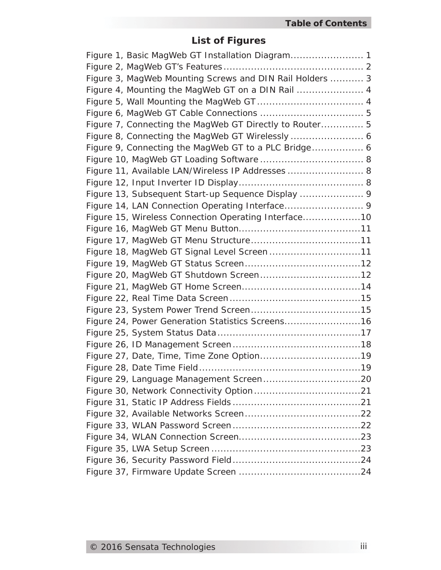# **List of Figures**

| Figure 1, Basic MagWeb GT Installation Diagram 1         |
|----------------------------------------------------------|
|                                                          |
| Figure 3, MagWeb Mounting Screws and DIN Rail Holders  3 |
| Figure 4, Mounting the MagWeb GT on a DIN Rail  4        |
|                                                          |
|                                                          |
| Figure 7, Connecting the MagWeb GT Directly to Router 5  |
|                                                          |
| Figure 9, Connecting the MagWeb GT to a PLC Bridge 6     |
|                                                          |
| Figure 11, Available LAN/Wireless IP Addresses  8        |
|                                                          |
| Figure 13, Subsequent Start-up Sequence Display  9       |
| Figure 14, LAN Connection Operating Interface 9          |
| Figure 15, Wireless Connection Operating Interface10     |
|                                                          |
|                                                          |
| Figure 18, MagWeb GT Signal Level Screen11               |
|                                                          |
|                                                          |
|                                                          |
|                                                          |
|                                                          |
| Figure 24, Power Generation Statistics Screens16         |
|                                                          |
|                                                          |
|                                                          |
|                                                          |
|                                                          |
|                                                          |
|                                                          |
|                                                          |
|                                                          |
|                                                          |
|                                                          |
|                                                          |
|                                                          |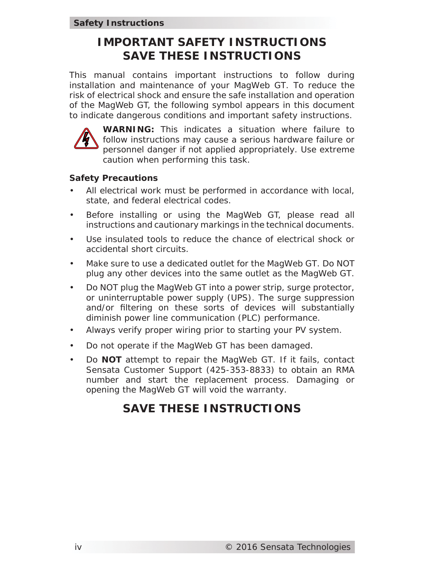# **IMPORTANT SAFETY INSTRUCTIONS SAVE THESE INSTRUCTIONS**

This manual contains important instructions to follow during installation and maintenance of your MagWeb GT. To reduce the risk of electrical shock and ensure the safe installation and operation of the MagWeb GT, the following symbol appears in this document to indicate dangerous conditions and important safety instructions.



**WARNING:** This indicates a situation where failure to follow instructions may cause a serious hardware failure or personnel danger if not applied appropriately. Use extreme caution when performing this task.

#### **Safety Precautions**

- All electrical work must be performed in accordance with local, state, and federal electrical codes.
- Before installing or using the MagWeb GT, please read all instructions and cautionary markings in the technical documents.
- Use insulated tools to reduce the chance of electrical shock or accidental short circuits.
- Make sure to use a dedicated outlet for the MagWeb GT. Do NOT plug any other devices into the same outlet as the MagWeb GT.
- Do NOT plug the MagWeb GT into a power strip, surge protector, or uninterruptable power supply (UPS). The surge suppression and/or filtering on these sorts of devices will substantially diminish power line communication (PLC) performance.
- Always verify proper wiring prior to starting your PV system.
- Do not operate if the MagWeb GT has been damaged.
- Do **NOT** attempt to repair the MagWeb GT. If it fails, contact Sensata Customer Support (425-353-8833) to obtain an RMA number and start the replacement process. Damaging or opening the MagWeb GT will void the warranty.

# **SAVE THESE INSTRUCTIONS**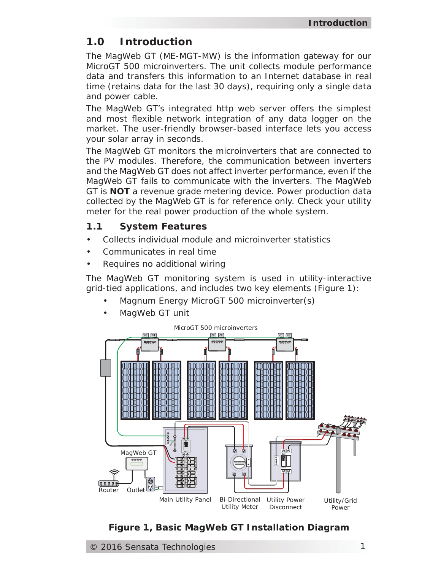# **1.0 Introduction**

The MagWeb GT (ME-MGT-MW) is the information gateway for our MicroGT 500 microinverters. The unit collects module performance data and transfers this information to an Internet database in real time (retains data for the last 30 days), requiring only a single data and power cable.

The MagWeb GT's integrated http web server offers the simplest and most flexible network integration of any data logger on the market. The user-friendly browser-based interface lets you access your solar array in seconds.

The MagWeb GT monitors the microinverters that are connected to the PV modules. Therefore, the communication between inverters and the MagWeb GT does not affect inverter performance, even if the MagWeb GT fails to communicate with the inverters. The MagWeb GT is **NOT** a revenue grade metering device. Power production data collected by the MagWeb GT is for reference only. Check your utility meter for the real power production of the whole system.

# **1.1 System Features**

- Collects individual module and microinverter statistics
- Communicates in real time
- Requires no additional wiring

The MagWeb GT monitoring system is used in utility-interactive grid-tied applications, and includes two key elements (Figure 1):

- Magnum Energy MicroGT 500 microinverter(s)
- MagWeb GT unit



# *Figure 1, Basic MagWeb GT Installation Diagram*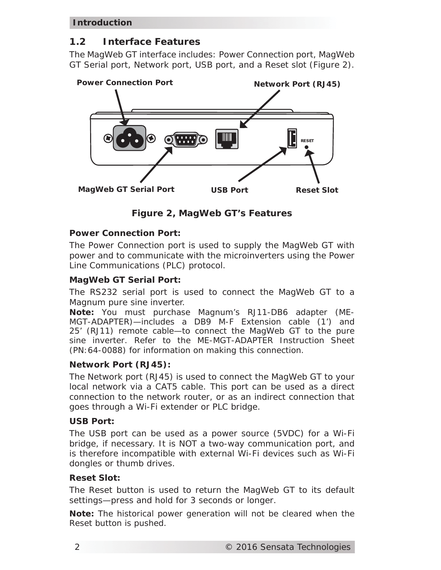# **1.2 Interface Features**

The MagWeb GT interface includes: Power Connection port, MagWeb GT Serial port, Network port, USB port, and a Reset slot (Figure 2).



*Figure 2, MagWeb GT's Features*

# *Power Connection Port:*

The Power Connection port is used to supply the MagWeb GT with power and to communicate with the microinverters using the Power Line Communications (PLC) protocol.

### *MagWeb GT Serial Port:*

The RS232 serial port is used to connect the MagWeb GT to a Magnum pure sine inverter.

*Note: You must purchase Magnum's RJ11-DB6 adapter (ME-MGT-ADAPTER)—includes a DB9 M-F Extension cable (1') and 25' (RJ11) remote cable—to connect the MagWeb GT to the pure sine inverter. Refer to the ME-MGT-ADAPTER Instruction Sheet (PN:64-0088) for information on making this connection.*

#### *Network Port (RJ45):*

The Network port (RJ45) is used to connect the MagWeb GT to your local network via a CAT5 cable. This port can be used as a direct connection to the network router, or as an indirect connection that goes through a Wi-Fi extender or PLC bridge.

#### *USB Port:*

The USB port can be used as a power source (5VDC) for a Wi-Fi bridge, if necessary. It is NOT a two-way communication port, and is therefore incompatible with external Wi-Fi devices such as Wi-Fi dongles or thumb drives.

#### *Reset Slot:*

The Reset button is used to return the MagWeb GT to its default settings—press and hold for 3 seconds or longer.

*Note: The historical power generation will not be cleared when the Reset button is pushed.*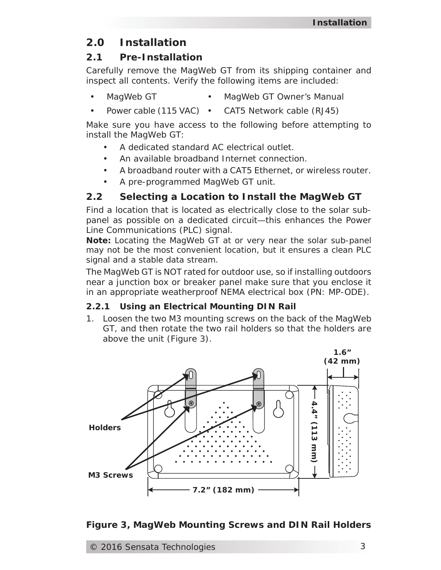# **2.0 Installation**

# **2.1 Pre-Installation**

Carefully remove the MagWeb GT from its shipping container and inspect all contents. Verify the following items are included:

- MagWeb GT MagWeb GT Owner's Manual
- Power cable (115 VAC) CAT5 Network cable (RJ45)

Make sure you have access to the following before attempting to install the MagWeb GT:

- A dedicated standard AC electrical outlet.
- An available broadband Internet connection.
- A broadband router with a CAT5 Ethernet, or wireless router.
- A pre-programmed MagWeb GT unit.

# **2.2 Selecting a Location to Install the MagWeb GT**

Find a location that is located as electrically close to the solar subpanel as possible on a dedicated circuit—this enhances the Power Line Communications (PLC) signal.

*Note: Locating the MagWeb GT at or very near the solar sub-panel may not be the most convenient location, but it ensures a clean PLC signal and a stable data stream.*

The MagWeb GT is NOT rated for outdoor use, so if installing outdoors near a junction box or breaker panel make sure that you enclose it in an appropriate weatherproof NEMA electrical box (PN: MP-ODE).

# **2.2.1 Using an Electrical Mounting DIN Rail**

1. Loosen the two M3 mounting screws on the back of the MagWeb GT, and then rotate the two rail holders so that the holders are above the unit (Figure 3).

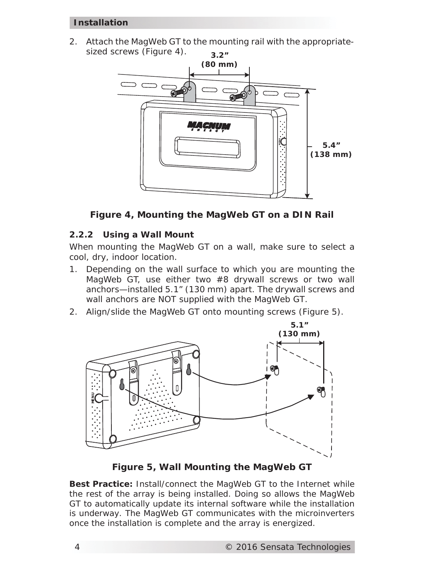#### **Installation**

2. Attach the MagWeb GT to the mounting rail with the appropriatesized screws (Figure 4).



*Figure 4, Mounting the MagWeb GT on a DIN Rail*

# **2.2.2 Using a Wall Mount**

When mounting the MagWeb GT on a wall, make sure to select a cool, dry, indoor location.

- 1. Depending on the wall surface to which you are mounting the MagWeb GT, use either two #8 drywall screws or two wall anchors—installed 5.1" (130 mm) apart. The drywall screws and wall anchors are NOT supplied with the MagWeb GT.
- 2. Align/slide the MagWeb GT onto mounting screws (Figure 5).



*Figure 5, Wall Mounting the MagWeb GT*

*Best Practice: Install/connect the MagWeb GT to the Internet while the rest of the array is being installed. Doing so allows the MagWeb GT to automatically update its internal software while the installation is underway. The MagWeb GT communicates with the microinverters*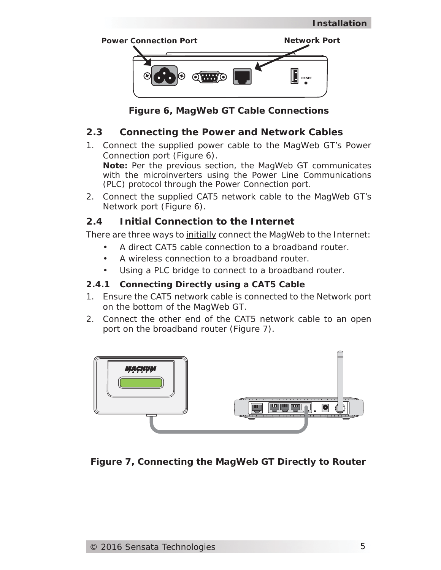

*Figure 6, MagWeb GT Cable Connections*

# **2.3 Connecting the Power and Network Cables**

1. Connect the supplied power cable to the MagWeb GT's Power Connection port (Figure 6).

*Note: Per the previous section, the MagWeb GT communicates with the microinverters using the Power Line Communications (PLC) protocol through the Power Connection port.*

2. Connect the supplied CAT5 network cable to the MagWeb GT's Network port (Figure 6).

# **2.4 Initial Connection to the Internet**

There are three ways to initially connect the MagWeb to the Internet:

- A direct CAT5 cable connection to a broadband router.
- A wireless connection to a broadband router.
- Using a PLC bridge to connect to a broadband router.

# **2.4.1 Connecting Directly using a CAT5 Cable**

- 1. Ensure the CAT5 network cable is connected to the Network port on the bottom of the MagWeb GT.
- 2. Connect the other end of the CAT5 network cable to an open port on the broadband router (Figure 7).



*Figure 7, Connecting the MagWeb GT Directly to Router*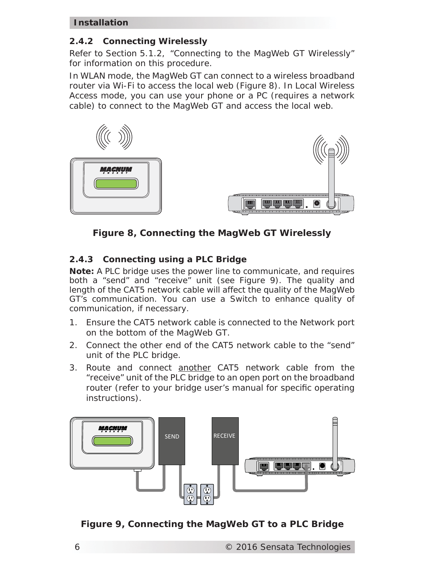#### **Installation**

#### **2.4.2 Connecting Wirelessly**

Refer to Section 5.1.2, "Connecting to the MagWeb GT Wirelessly" for information on this procedure.

In WLAN mode, the MagWeb GT can connect to a wireless broadband router via Wi-Fi to access the local web (Figure 8). In Local Wireless Access mode, you can use your phone or a PC (requires a network cable) to connect to the MagWeb GT and access the local web.



*Figure 8, Connecting the MagWeb GT Wirelessly*

# **2.4.3 Connecting using a PLC Bridge**

*Note: A PLC bridge uses the power line to communicate, and requires both a "send" and "receive" unit (see Figure 9). The quality and length of the CAT5 network cable will affect the quality of the MagWeb GT's communication. You can use a Switch to enhance quality of communication, if necessary.* 

- 1. Ensure the CAT5 network cable is connected to the Network port on the bottom of the MagWeb GT.
- 2. Connect the other end of the CAT5 network cable to the "send" unit of the PLC bridge.
- 3. Route and connect another CAT5 network cable from the "receive" unit of the PLC bridge to an open port on the broadband router (refer to your bridge user's manual for specific operating instructions).



*Figure 9, Connecting the MagWeb GT to a PLC Bridge*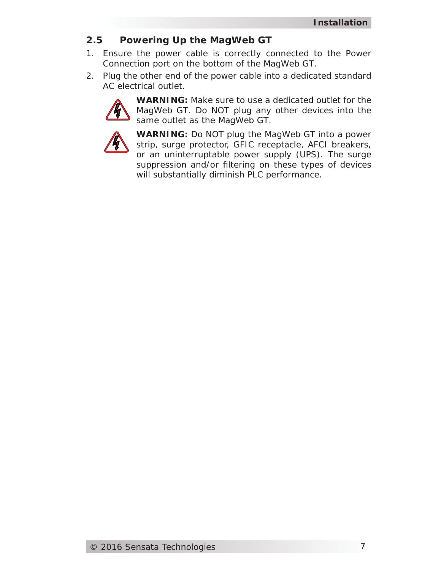# **2.5 Powering Up the MagWeb GT**

- 1. Ensure the power cable is correctly connected to the Power Connection port on the bottom of the MagWeb GT.
- 2. Plug the other end of the power cable into a dedicated standard AC electrical outlet.



**WARNING:** Make sure to use a dedicated outlet for the MagWeb GT. Do NOT plug any other devices into the same outlet as the MagWeb GT.



**WARNING:** Do NOT plug the MagWeb GT into a power strip, surge protector, GFIC receptacle, AFCI breakers, or an uninterruptable power supply (UPS). The surge suppression and/or filtering on these types of devices will substantially diminish PLC performance.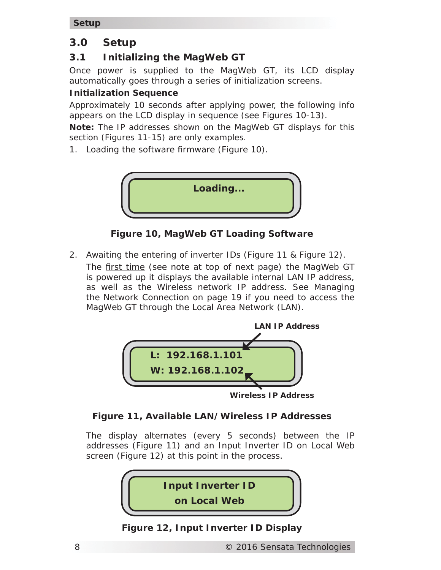**Setup**

# **3.0 Setup**

# **3.1 Initializing the MagWeb GT**

Once power is supplied to the MagWeb GT, its LCD display automatically goes through a series of initialization screens.

# **Initialization Sequence**

Approximately 10 seconds after applying power, the following info appears on the LCD display in sequence (see Figures 10-13).

*Note: The IP addresses shown on the MagWeb GT displays for this section (Figures 11-15) are only examples.*

1. Loading the software firmware (Figure 10).



*Figure 10, MagWeb GT Loading Software*

2. Awaiting the entering of inverter IDs (Figure 11 & Figure 12). The first time (see note at top of next page) the MagWeb GT is powered up it displays the available internal LAN IP address, as well as the Wireless network IP address. See Managing the Network Connection on page 19 if you need to access the MagWeb GT through the Local Area Network (LAN).



**Wireless IP Address**

# *Figure 11, Available LAN/Wireless IP Addresses*

The display alternates (every 5 seconds) between the IP addresses (Figure 11) and an Input Inverter ID on Local Web screen (Figure 12) at this point in the process.



*Figure 12, Input Inverter ID Display*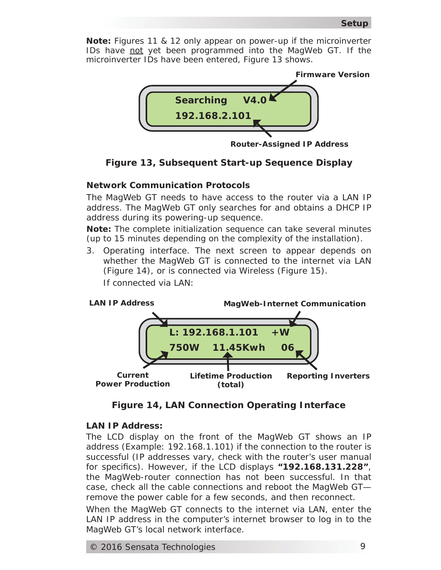*Note: Figures 11 & 12 only appear on power-up if the microinverter IDs have not yet been programmed into the MagWeb GT. If the microinverter IDs have been entered, Figure 13 shows.*



**Router-Assigned IP Address**



#### **Network Communication Protocols**

The MagWeb GT needs to have access to the router via a LAN IP address. The MagWeb GT only searches for and obtains a DHCP IP address during its powering-up sequence.

*Note: The complete initialization sequence can take several minutes (up to 15 minutes depending on the complexity of the installation).*

3. Operating interface. The next screen to appear depends on whether the MagWeb GT is connected to the internet via LAN (Figure 14), or is connected via Wireless (Figure 15). *If connected via LAN:*



*Figure 14, LAN Connection Operating Interface*

#### **LAN IP Address:**

The LCD display on the front of the MagWeb GT shows an IP address (Example: 192.168.1.101*)* if the connection to the router is successful (IP addresses vary, check with the router's user manual for specifics). However, if the LCD displays "192.168.131.228", the MagWeb-router connection has not been successful. In that case, check all the cable connections and reboot the MagWeb GTremove the power cable for a few seconds, and then reconnect.

When the MagWeb GT connects to the internet via LAN, enter the LAN IP address in the computer's internet browser to log in to the MagWeb GT's local network interface.

© 2016 Sensata Technologies 9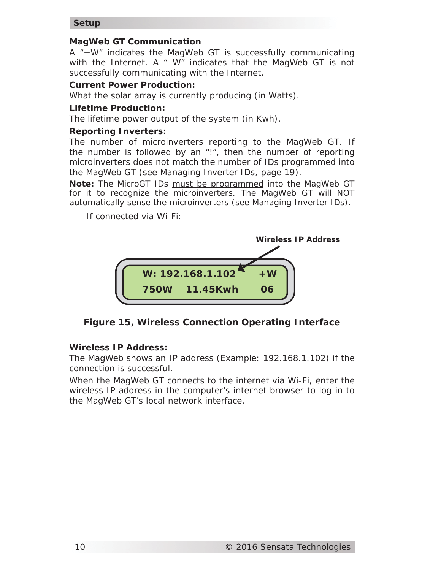#### **Setup**

#### **MagWeb GT Communication**

A "+W" indicates the MagWeb GT is successfully communicating with the Internet. A "–W" indicates that the MagWeb GT is not successfully communicating with the Internet.

#### **Current Power Production:**

What the solar array is currently producing (in Watts).

#### **Lifetime Production:**

The lifetime power output of the system (in Kwh).

#### **Reporting Inverters:**

The number of microinverters reporting to the MagWeb GT. If the number is followed by an "!", then the number of reporting microinverters does not match the number of IDs programmed into the MagWeb GT (see Managing Inverter IDs, page 19).

*Note: The MicroGT IDs must be programmed into the MagWeb GT for it to recognize the microinverters. The MagWeb GT will NOT automatically sense the microinverters (see Managing Inverter IDs).*

*If connected via Wi-Fi:*



*Figure 15, Wireless Connection Operating Interface*

#### **Wireless IP Address:**

The MagWeb shows an IP address (Example: 192.168.1.102) if the connection is successful.

When the MagWeb GT connects to the internet via Wi-Fi, enter the wireless IP address in the computer's internet browser to log in to the MagWeb GT's local network interface.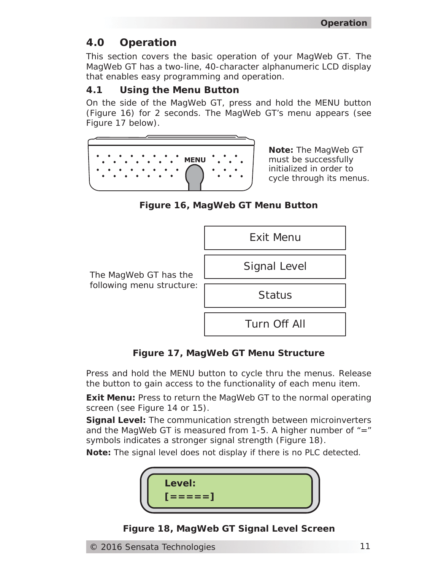# **4.0 Operation**

This section covers the basic operation of your MagWeb GT. The MagWeb GT has a two-line, 40-character alphanumeric LCD display that enables easy programming and operation.

# **4.1 Using the Menu Button**

On the side of the MagWeb GT, press and hold the MENU button (Figure 16) for 2 seconds. The MagWeb GT's menu appears (see Figure 17 below).



*Note: The MagWeb GT must be successfully initialized in order to cycle through its menus.*

*Figure 16, MagWeb GT Menu Button*



*Figure 17, MagWeb GT Menu Structure*

Press and hold the MENU button to cycle thru the menus. Release the button to gain access to the functionality of each menu item.

**Exit Menu:** Press to return the MagWeb GT to the normal operating screen (see Figure 14 or 15).

**Signal Level:** The communication strength between microinverters and the MagWeb GT is measured from 1-5. A higher number of  $"="$ symbols indicates a stronger signal strength (Figure 18).

*Note: The signal level does not display if there is no PLC detected*.



*Figure 18, MagWeb GT Signal Level Screen*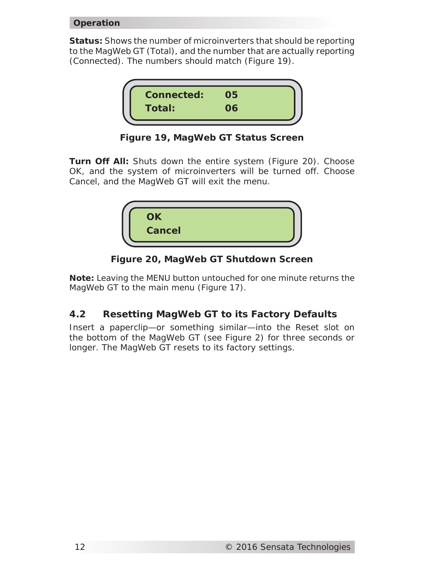#### **Operation**

**Status:** Shows the number of microinverters that should be reporting to the MagWeb GT (Total), and the number that are actually reporting (Connected). The numbers should match (Figure 19).



*Figure 19, MagWeb GT Status Screen*

**Turn Off All:** Shuts down the entire system (Figure 20). Choose *OK*, and the system of microinverters will be turned off. Choose *Cancel*, and the MagWeb GT will exit the menu.



*Figure 20, MagWeb GT Shutdown Screen*

*Note: Leaving the MENU button untouched for one minute returns the MagWeb GT to the main menu (Figure 17).*

# **4.2 Resetting MagWeb GT to its Factory Defaults**

Insert a paperclip—or something similar—into the Reset slot on the bottom of the MagWeb GT (see Figure 2) for three seconds or longer. The MagWeb GT resets to its factory settings.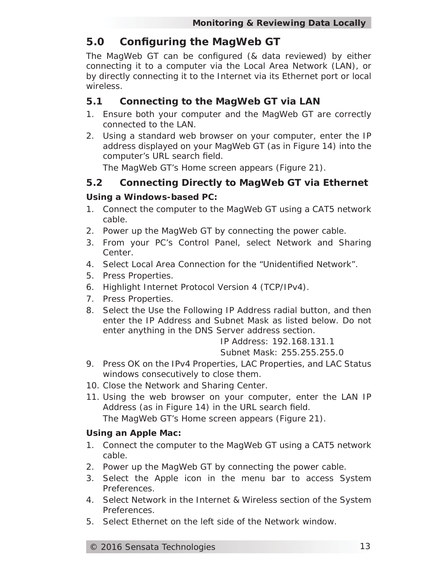# **5.0 Confi guring the MagWeb GT**

The MagWeb GT can be configured (& data reviewed) by either connecting it to a computer via the Local Area Network (LAN), or by directly connecting it to the Internet via its Ethernet port or local wireless.

### **5.1 Connecting to the MagWeb GT via LAN**

- 1. Ensure both your computer and the MagWeb GT are correctly connected to the LAN.
- 2. Using a standard web browser on your computer, enter the IP address displayed on your MagWeb GT (as in Figure 14) into the computer's URL search field.

The MagWeb GT's Home screen appears (Figure 21).

# **5.2 Connecting Directly to MagWeb GT via Ethernet**

#### *Using a Windows-based PC:*

- 1. Connect the computer to the MagWeb GT using a CAT5 network cable.
- 2. Power up the MagWeb GT by connecting the power cable.
- 3. From your PC's Control Panel, select *Network and Sharing Center*.
- 4. Select *Local Area Connection* for the "*Unidentifi ed Network"*.
- 5. Press *Properties*.
- 6. Highlight *Internet Protocol Version 4 (TCP/IPv4*).
- 7. Press *Properties*.
- 8. Select the *Use the Following IP Address* radial button, and then enter the IP Address and Subnet Mask as listed below. Do not enter anything in the DNS Server address section.

*IP Address: 192.168.131.1 Subnet Mask: 255.255.255.0*

- 9. Press *OK* on the IPv4 Properties, LAC Properties, and LAC Status windows consecutively to close them.
- 10. Close the Network and Sharing Center.
- 11. Using the web browser on your computer, enter the LAN IP Address (as in Figure 14) in the URL search field. The MagWeb GT's Home screen appears (Figure 21).

#### *Using an Apple Mac:*

- 1. Connect the computer to the MagWeb GT using a CAT5 network cable.
- 2. Power up the MagWeb GT by connecting the power cable.
- 3. Select the Apple icon in the menu bar to access System Preferences.
- 4. Select *Network* in the Internet & Wireless section of the System Preferences.
- 5. Select *Ethernet* on the left side of the Network window.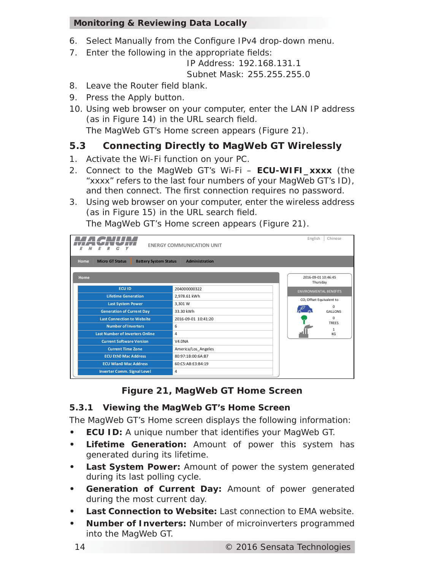- 6. Select *Manually* from the Configure IPv4 drop-down menu.
- 7. Enter the following in the appropriate fields:

*IP Address: 192.168.131.1 Subnet Mask: 255.255.255.0*

- 8. Leave the *Router* field blank.
- 9. Press the *Apply* button.
- 10. Using web browser on your computer, enter the LAN IP address (as in Figure 14) in the URL search field.

The MagWeb GT's Home screen appears (Figure 21).

# **5.3 Connecting Directly to MagWeb GT Wirelessly**

- 1. Activate the Wi-Fi function on your PC.
- 2. Connect to the MagWeb GT's Wi-Fi **ECU-WIFI\_xxxx** (the "xxxx" refers to the last four numbers of your MagWeb GT's ID), and then connect. The first connection requires no password.
- 3. Using web browser on your computer, enter the wireless address (as in Figure 15) in the URL search field.

HACNUM English Chinese **ENERGY COMMUNICATION UNIT Administration Home Micro GT Status Battery System Status Administration Home** 2016-09-01 10:46:45 Thursday **ECU ID** 204000000322 ENVIRONMENTAL BENEFITS **Lifetime Generation** 2,978.61 kWh CO<sub>2</sub> Offset Equivalent to **Last System Power** 3,301 W  $\mathscr{C}$  of 0 GALLONS **Generation of Current Day** 33.30 kWh **Last Connection to Website** 2016-09-01 10:41:20 0 TREES T **Number of Inverters** 6 1 KG -11 **Last Number of Inverters Online** 4 **Current Software Version** V4.0NA **Current Time Zone** America/Los\_Angeles **ECU Eth0 Mac Address** 80:97:1B:00:6A:B7 **ECU Wlan0 Mac Address** 60:C5:AB:E3:B4:19 **Inverter Comm. Signal Level** 4

The MagWeb GT's Home screen appears (Figure 21).

# *Figure 21, MagWeb GT Home Screen*

#### **5.3.1 Viewing the MagWeb GT's Home Screen**

The MagWeb GT's Home screen displays the following information:

- **ECU ID:** A unique number that identifies your MagWeb GT.
- **Lifetime Generation:** Amount of power this system has generated during its lifetime.
- **Last System Power:** Amount of power the system generated during its last polling cycle.
- **Generation of Current Day:** Amount of power generated during the most current day.
- **Last Connection to Website:** Last connection to EMA website.
- **Number of Inverters:** Number of microinverters programmed into the MagWeb GT.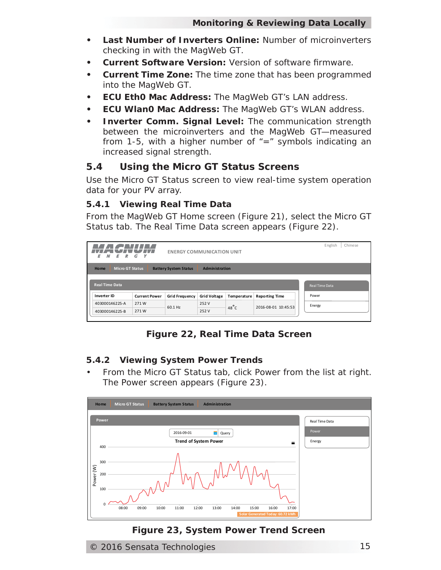- **Last Number of Inverters Online:** Number of microinverters checking in with the MagWeb GT.
- **Current Software Version:** Version of software firmware.
- **Current Time Zone:** The time zone that has been programmed into the MagWeb GT.
- **ECU Eth0 Mac Address:** The MagWeb GT's LAN address.
- **ECU Wlan0 Mac Address:** The MagWeb GT's WLAN address.
- **Inverter Comm. Signal Level:** The communication strength between the microinverters and the MagWeb GT—measured from 1-5, with a higher number of  $"="$  symbols indicating an increased signal strength.

# **5.4 Using the Micro GT Status Screens**

Use the Micro GT Status screen to view real-time system operation data for your PV array.

#### **5.4.1 Viewing Real Time Data**

From the MagWeb GT Home screen (Figure 21), select the *Micro GT Status* tab. The Real Time Data screen appears (Figure 22).

| <u>TI AT WINDOW M</u><br>Ε<br>ER G<br>N | <b>CALLES</b><br>Y   | <b>ENERGY COMMUNICATION UNIT</b> |                     |                |                       | English<br>Chinese |
|-----------------------------------------|----------------------|----------------------------------|---------------------|----------------|-----------------------|--------------------|
| <b>Home</b><br><b>Micro GT Status</b>   |                      | <b>Battery System Status</b>     | Administration      |                |                       |                    |
| <b>Real Time Data</b>                   |                      |                                  |                     |                |                       | Real Time Data     |
| Inverter ID                             | <b>Current Power</b> | <b>Grid Frequency</b>            | <b>Grid Voltage</b> | Temperature    | <b>Reporting Time</b> | Power              |
| 403000146225-A                          | 271W                 | 60.1 Hz                          | 252 V               | $48^{\circ}$ C | 2016-08-01 10:45:53   | Energy             |
| 403000146225-B                          | 271W                 |                                  | 252 V               |                |                       |                    |

*Figure 22, Real Time Data Screen*

#### **5.4.2 Viewing System Power Trends**

• From the *Micro GT Status* tab, click *Power* from the list at right. The Power screen appears (Figure 23).



# *Figure 23, System Power Trend Screen*

© 2016 Sensata Technologies 15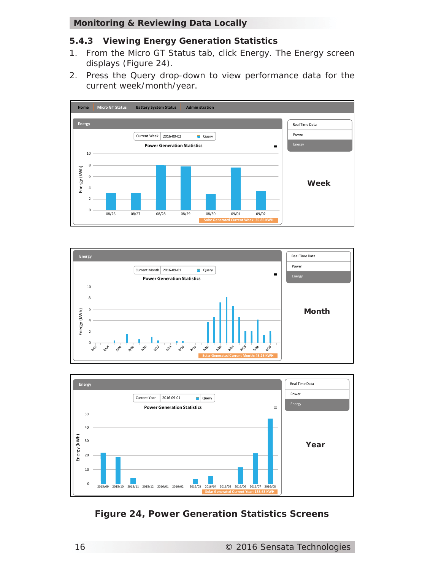#### **5.4.3 Viewing Energy Generation Statistics**

- 1. From the *Micro GT Status* tab, click *Energy*. The Energy screen displays (Figure 24).
- 2. Press the *Query* drop-down to view performance data for the current week/month/year.







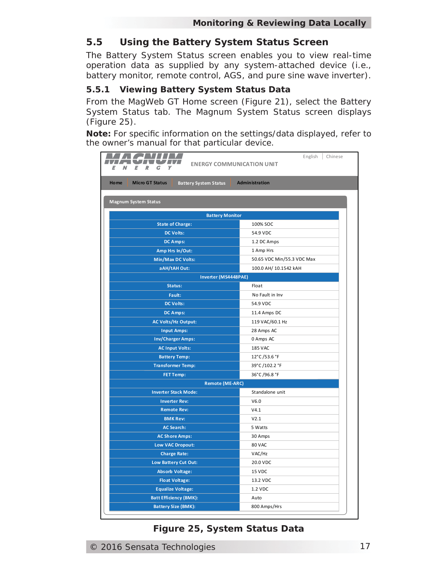# **5.5 Using the Battery System Status Screen**

The Battery System Status screen enables you to view real-time operation data as supplied by any system-attached device (i.e., battery monitor, remote control, AGS, and pure sine wave inverter).

#### **5.5.1 Viewing Battery System Status Data**

From the MagWeb GT Home screen (Figure 21), select the *Battery System Status* tab. The Magnum System Status screen displays (Figure 25).

*Note: For specifi c information on the settings/data displayed, refer to the owner's manual for that particular device.*

| M<br>R                                                                | English<br>Chinese<br><b>ENERGY COMMUNICATION UNIT</b> |
|-----------------------------------------------------------------------|--------------------------------------------------------|
| <b>Micro GT Status</b><br><b>Home</b><br><b>Battery System Status</b> | <b>Administration</b>                                  |
| <b>Magnum System Status</b>                                           |                                                        |
| <b>Battery Monitor</b>                                                |                                                        |
| <b>State of Charge:</b>                                               | 100% SOC                                               |
| <b>DC Volts:</b>                                                      | 54.9 VDC                                               |
| <b>DC Amps:</b>                                                       | 1.2 DC Amps                                            |
| Amp Hrs In/Out:                                                       | 1 Amp Hrs                                              |
| <b>Min/Max DC Volts:</b>                                              | 50.65 VDC Min/55.3 VDC Max                             |
| aAH/tAH Out:                                                          | 100.0 AH/ 10.1542 kAH                                  |
| Inverter (MS4448PAE)                                                  |                                                        |
| Status:                                                               | Float                                                  |
| Fault:                                                                | No Fault in Inv                                        |
| <b>DC Volts:</b>                                                      | 54.9 VDC                                               |
| <b>DC Amps:</b>                                                       | 11.4 Amps DC                                           |
| <b>AC Volts/Hz Output:</b>                                            | 119 VAC/60.1 Hz                                        |
| <b>Input Amps:</b>                                                    | 28 Amps AC                                             |
| <b>Inv/Charger Amps:</b>                                              | 0 Amps AC                                              |
| <b>AC Input Volts:</b>                                                | <b>185 VAC</b>                                         |
| <b>Battery Temp:</b>                                                  | 12°C/53.6 °F                                           |
| <b>Transformer Temp:</b>                                              | 39°C/102.2 °F                                          |
| <b>FET Temp:</b>                                                      | 36°C/96.8 °F                                           |
| <b>Remote (ME-ARC)</b>                                                |                                                        |
| <b>Inverter Stack Mode:</b>                                           | Standalone unit                                        |
| <b>Inverter Rev:</b>                                                  | V6.0                                                   |
| <b>Remote Rev:</b>                                                    | V4.1                                                   |
| <b>BMK Rev:</b>                                                       | V2.1                                                   |
| <b>AC Search:</b>                                                     | 5 Watts                                                |
| <b>AC Shore Amps:</b>                                                 | 30 Amps                                                |
| Low VAC Dropout:                                                      | 80 VAC                                                 |
| <b>Charge Rate:</b>                                                   | VAC/Hz                                                 |
| Low Battery Cut Out:                                                  | 20.0 VDC                                               |
| <b>Absorb Voltage:</b>                                                | 15 VDC                                                 |
| <b>Float Voltage:</b>                                                 | 13.2 VDC                                               |
| <b>Equalize Voltage:</b>                                              | 1.2 VDC                                                |
| <b>Batt Efficiency (BMK):</b>                                         | Auto                                                   |
| <b>Battery Size (BMK):</b>                                            | 800 Amps/Hrs                                           |

# *Figure 25, System Status Data*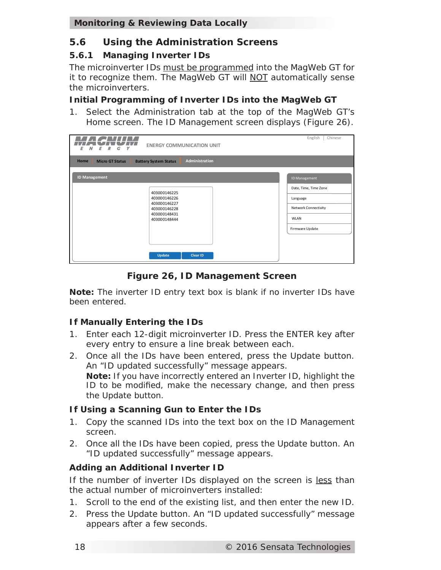# **5.6 Using the Administration Screens**

# **5.6.1 Managing Inverter IDs**

The microinverter IDs must be programmed into the MagWeb GT for it to recognize them. The MagWeb GT will NOT automatically sense the microinverters.

### **Initial Programming of Inverter IDs into the MagWeb GT**

1. Select the *Administration* tab at the top of the MagWeb GT's Home screen. The ID Management screen displays (Figure 26).

| <b>ENERGY COMMUNICATION UNIT</b><br>У<br>r.<br>F                                             | English<br>Chinese                                                                   |
|----------------------------------------------------------------------------------------------|--------------------------------------------------------------------------------------|
| Administration<br>Home<br><b>Micro GT Status</b><br><b>Battery System Status</b>             |                                                                                      |
| <b>ID Management</b>                                                                         | ID Management                                                                        |
| 403000146225<br>403000146226<br>403000146227<br>403000146228<br>403000148431<br>403000148444 | Date, Time, Time Zone<br>Language<br>Network Connectivity<br>WLAN<br>Firmware Update |
| Update<br><b>Clear ID</b>                                                                    |                                                                                      |

*Figure 26, ID Management Screen*

*Note: The inverter ID entry text box is blank if no inverter IDs have been entered.*

# **If Manually Entering the IDs**

- 1. Enter each 12-digit microinverter ID. Press the ENTER key after every entry to ensure a line break between each.
- 2. Once all the IDs have been entered, press the *Update* button. An "ID updated successfully" message appears. *Note: If you have incorrectly entered an Inverter ID, highlight the ID to be modified, make the necessary change, and then press the Update button.*

# **If Using a Scanning Gun to Enter the IDs**

- 1. Copy the scanned IDs into the text box on the ID Management screen.
- 2. Once all the IDs have been copied, press the *Update* button. An "ID updated successfully" message appears.

# **Adding an Additional Inverter ID**

If the number of inverter IDs displayed on the screen is less than the actual number of microinverters installed:

- 1. Scroll to the end of the existing list, and then enter the new ID.
- 2. Press the *Update* button. An "ID updated successfully" message appears after a few seconds.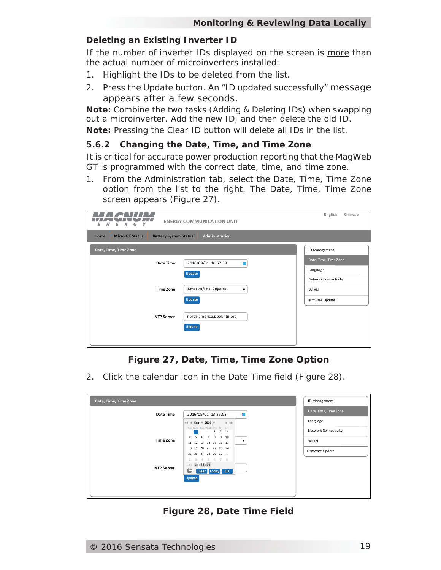#### **Deleting an Existing Inverter ID**

If the number of inverter IDs displayed on the screen is more than the actual number of microinverters installed:

- 1. Highlight the IDs to be deleted from the list.
- 2. Press the *Update* button. An "ID updated successfully" message appears after a few seconds.

*Note: Combine the two tasks (Adding & Deleting IDs) when swapping out a microinverter. Add the new ID, and then delete the old ID. Note: Pressing the Clear ID button will delete all IDs in the list.*

#### **5.6.2 Changing the Date, Time, and Time Zone**

It is critical for accurate power production reporting that the MagWeb GT is programmed with the correct date, time, and time zone.

1. From the *Administration* tab, select the *Date, Time, Time Zone* option from the list to the right. The Date, Time, Time Zone screen appears (Figure 27).

| <b>ENERGY COMMUNICATION UNIT</b><br>G<br>ν                                              | English<br>Chinese    |  |  |  |
|-----------------------------------------------------------------------------------------|-----------------------|--|--|--|
| Administration<br><b>Home</b><br><b>Micro GT Status</b><br><b>Battery System Status</b> |                       |  |  |  |
| Date, Time, Time Zone                                                                   | ID Management         |  |  |  |
| 2016/09/01 10:57:58<br>Date Time                                                        | Date, Time, Time Zone |  |  |  |
| <b>Update</b>                                                                           | Language              |  |  |  |
|                                                                                         | Network Connectivity  |  |  |  |
| America/Los Angeles<br><b>Time Zone</b><br>$\overline{\phantom{a}}$                     | <b>WLAN</b>           |  |  |  |
| <b>Update</b>                                                                           | Firmware Update       |  |  |  |
| north-america.pool.ntp.org<br><b>NTP Server</b>                                         |                       |  |  |  |
| Update                                                                                  |                       |  |  |  |
|                                                                                         |                       |  |  |  |
|                                                                                         |                       |  |  |  |

# *Figure 27, Date, Time, Time Zone Option*

2. Click the calendar icon in the *Date Time* field (Figure 28).

| Date, Time, Time Zone |                                                                                 | ID Management         |
|-----------------------|---------------------------------------------------------------------------------|-----------------------|
| Date Time             | 2016/09/01 13:35:03                                                             | Date, Time, Time Zone |
|                       | Sep $\sqrt{ }$ 2016 $\sqrt{ }$<br>$\rightarrow$ 1-1-1-1<br>$\blacktriangleleft$ | Language              |
|                       | Sun Mon Tue Wed Thu Fri Sat<br>$1 \quad 2 \quad 3$                              | Network Connectivity  |
| <b>Time Zone</b>      | 7 8 9 10<br>6<br>4<br>▼<br>11 12 13 14 15 16 17                                 | <b>WLAN</b>           |
|                       | 18    19    20    21    22    23    24<br>25 26 27 28 29 30 1                   | Firmware Update       |
|                       | 2 3 4 5 6 7 8<br>Time 13:35:03                                                  |                       |
| <b>NTP Server</b>     | Clear Today OK<br>c                                                             |                       |
|                       | Update                                                                          |                       |
|                       |                                                                                 |                       |
|                       |                                                                                 |                       |

*Figure 28, Date Time Field*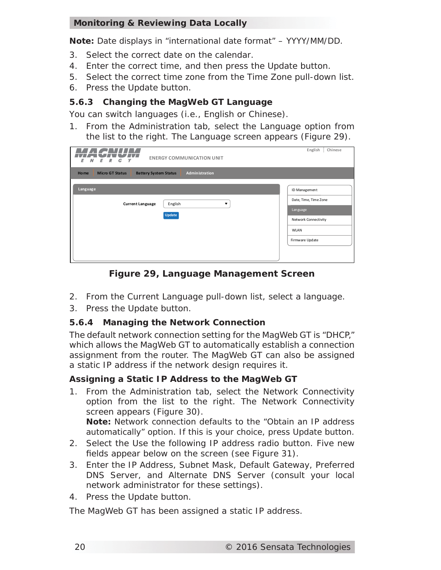*Note: Date displays in "international date format" – YYYY/MM/DD.*

- 3. Select the correct date on the calendar.
- 4. Enter the correct time, and then press the *Update* button.
- 5. Select the correct time zone from the *Time Zone* pull-down list.
- 6. Press the *Update* button.

#### **5.6.3 Changing the MagWeb GT Language**

You can switch languages (i.e., English or Chinese).

1. From the *Administration* tab, select the *Language* option from the list to the right. The Language screen appears (Figure 29).

| <b>ENERGY COMMUNICATION UNIT</b><br>R<br>γ<br>Ε<br>Ε<br>G                        | English<br>Chinese                                                                                           |
|----------------------------------------------------------------------------------|--------------------------------------------------------------------------------------------------------------|
| Administration<br><b>Micro GT Status</b><br><b>Battery System Status</b><br>Home |                                                                                                              |
| Language<br>English<br><b>Current Language</b><br>▼<br>Update                    | ID Management<br>Date, Time, Time Zone<br>Language<br>Network Connectivity<br><b>WLAN</b><br>Firmware Update |
|                                                                                  |                                                                                                              |

*Figure 29, Language Management Screen*

- 2. From the *Current Language* pull-down list, select a language.
- 3. Press the *Update* button.

#### **5.6.4 Managing the Network Connection**

The default network connection setting for the MagWeb GT is "DHCP," which allows the MagWeb GT to automatically establish a connection assignment from the router. The MagWeb GT can also be assigned a static IP address if the network design requires it.

#### **Assigning a Static IP Address to the MagWeb GT**

1. From the *Administration* tab, select the *Network Connectivity* option from the list to the right. The Network Connectivity screen appears (Figure 30).

*Note: Network connection defaults to the "Obtain an IP address automatically" option. If this is your choice, press Update button.*

- 2. Select the *Use the following IP address* radio button. Five new fields appear below on the screen (see Figure 31).
- 3. Enter the *IP Address*, *Subnet Mask*, *Default Gateway*, *Preferred DNS Server*, and *Alternate DNS Server* (consult your local network administrator for these settings).
- 4. Press the *Update* button.

The MagWeb GT has been assigned a static IP address.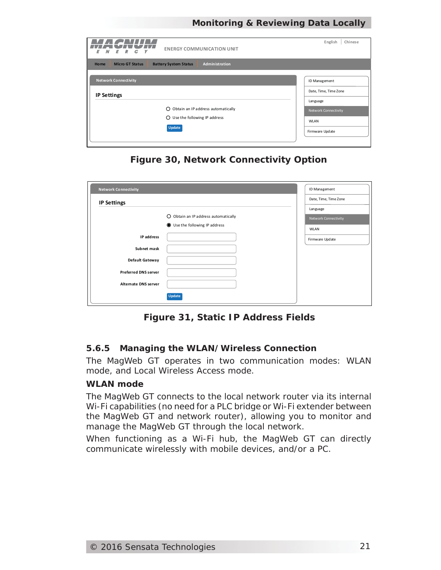| <b>ENERGY COMMUNICATION UNIT</b><br>R<br>G<br>Ε<br>Y<br>Ν<br>Ε                                                                          | English<br>Chinese                                                                                           |
|-----------------------------------------------------------------------------------------------------------------------------------------|--------------------------------------------------------------------------------------------------------------|
| Administration<br><b>Micro GT Status</b><br><b>Home</b><br><b>Battery System Status</b>                                                 |                                                                                                              |
| <b>Network Connectivity</b><br><b>IP Settings</b><br>O Obtain an IP address automatically<br>$O$ Use the following IP address<br>Update | ID Management<br>Date, Time, Time Zone<br>Language<br>Network Connectivity<br><b>WLAN</b><br>Firmware Update |

*Figure 30, Network Connectivity Option*

| <b>Network Connectivity</b> |                                      | ID Management         |
|-----------------------------|--------------------------------------|-----------------------|
| <b>IP Settings</b>          |                                      | Date, Time, Time Zone |
|                             |                                      | Language              |
|                             | O Obtain an IP address automatically | Network Connectivity  |
|                             | Use the following IP address         | <b>WLAN</b>           |
| IP address                  |                                      | Firmware Update       |
| Subnet mask                 |                                      |                       |
| Default Gateway             |                                      |                       |
| <b>Preferred DNS server</b> |                                      |                       |
| Alternate DNS server        |                                      |                       |
|                             | <b>Update</b>                        |                       |

*Figure 31, Static IP Address Fields*

#### **5.6.5 Managing the WLAN/Wireless Connection**

The MagWeb GT operates in two communication modes: WLAN mode, and Local Wireless Access mode.

#### **WLAN mode**

The MagWeb GT connects to the local network router via its internal Wi-Fi capabilities (no need for a PLC bridge or Wi-Fi extender between the MagWeb GT and network router), allowing you to monitor and manage the MagWeb GT through the local network.

When functioning as a Wi-Fi hub, the MagWeb GT can directly communicate wirelessly with mobile devices, and/or a PC.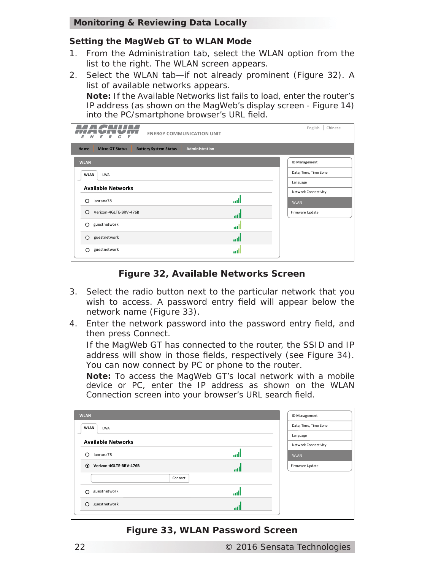#### **Setting the MagWeb GT to WLAN Mode**

- 1. From the *Administration* tab, select the *WLAN* option from the list to the right. The WLAN screen appears.
- 2. Select the *WLAN* tab—if not already prominent (Figure 32). A list of available networks appears.

*Note: If the Available Networks list fails to load, enter the router's IP address (as shown on the MagWeb's display screen - Figure 14)*  into the PC/smartphone browser's URL field.

| <b>ENERGY COMMUNICATION UNIT</b><br>Ε<br>R<br>G<br>γ<br>N                               | English<br>Chinese    |
|-----------------------------------------------------------------------------------------|-----------------------|
| Administration<br><b>Micro GT Status</b><br><b>Battery System Status</b><br><b>Home</b> |                       |
| <b>WLAN</b>                                                                             | ID Management         |
| <b>WLAN</b><br><b>LWA</b>                                                               | Date, Time, Time Zone |
|                                                                                         | Language              |
| <b>Available Networks</b>                                                               | Network Connectivity  |
| اان<br>laorana78<br>∩                                                                   | <b>WLAN</b>           |
| Verizon-4GLTE-BRV-476B<br>∩<br>اان                                                      | Firmware Update       |
| guestnetwork<br>∩<br>adl                                                                |                       |
| guestnetwork<br>∩<br>الس                                                                |                       |
| guestnetwork<br>∩<br>all                                                                |                       |

*Figure 32, Available Networks Screen*

- 3. Select the radio button next to the particular network that you wish to access. A password entry field will appear below the network name (Figure 33).
- 4. Enter the network password into the password entry field, and then press *Connect*.

If the MagWeb GT has connected to the router, the *SSID* and *IP*  address will show in those fields, respectively (see Figure 34). You can now connect by PC or phone to the router.

*Note: To access the MagWeb GT's local network with a mobile device or PC, enter the IP address as shown on the WLAN Connection screen into your browser's URL search field.* 

| <b>WLAN</b>                              | ID Management         |
|------------------------------------------|-----------------------|
| <b>WLAN</b><br>LWA                       | Date, Time, Time Zone |
|                                          | Language              |
| <b>Available Networks</b>                | Network Connectivity  |
| laorana78<br>∩<br>all                    | <b>WLAN</b>           |
| $\odot$<br>Verizon-4GLTE-BRV-476B<br>all | Firmware Update       |
| Connect                                  |                       |
| guestnetwork<br>∩<br>ull                 |                       |
| guestnetwork<br>шU                       |                       |

*Figure 33, WLAN Password Screen*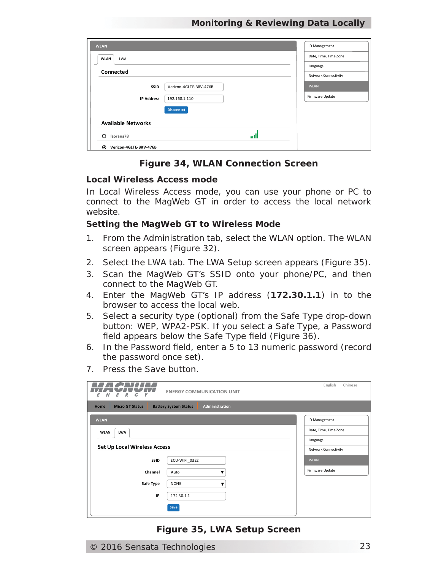| <b>WLAN</b>                       |                        | ID Management         |
|-----------------------------------|------------------------|-----------------------|
| <b>WLAN</b><br><b>LWA</b>         |                        | Date, Time, Time Zone |
|                                   |                        | Language              |
| Connected                         |                        | Network Connectivity  |
| SSID                              | Verizon-4GLTE-BRV-476B | <b>WLAN</b>           |
| <b>IP Address</b>                 | 192.168.1.110          | Firmware Update       |
|                                   | <b>Disconnect</b>      |                       |
| <b>Available Networks</b>         |                        |                       |
| ∩<br>laorana78                    | пH                     |                       |
| $\odot$<br>Verizon-4GLTE-BRV-476B |                        |                       |

#### *Figure 34, WLAN Connection Screen*

#### **Local Wireless Access mode**

In Local Wireless Access mode, you can use your phone or PC to connect to the MagWeb GT in order to access the local network website.

#### **Setting the MagWeb GT to Wireless Mode**

- 1. From the Administration tab, select the WLAN option. The WLAN screen appears (Figure 32).
- 2. Select the *LWA* tab. The LWA Setup screen appears (Figure 35).
- 3. Scan the MagWeb GT's SSID onto your phone/PC, and then connect to the MagWeb GT.
- 4. Enter the MagWeb GT's IP address (**172.30.1.1**) in to the browser to access the local web.
- 5. Select a security type (optional) from the *Safe Type* drop-down button: *WEP*, *WPA2-PSK*. If you select a *Safe Type*, a *Password* field appears below the *Safe Type* field (Figure 36).
- 6. In the *Password* field, enter a 5 to 13 numeric password (record the password once set).
- 7. Press the *Save* button.

| English<br>Chinese<br><b>ENERGY COMMUNICATION UNIT</b><br>Ε<br>Υ<br>Ε<br>я<br>G  |                        |                       |  |
|----------------------------------------------------------------------------------|------------------------|-----------------------|--|
| Administration<br><b>Micro GT Status</b><br>Home<br><b>Battery System Status</b> |                        |                       |  |
| <b>WLAN</b>                                                                      |                        | ID Management         |  |
| <b>WLAN</b><br><b>LWA</b>                                                        |                        | Date, Time, Time Zone |  |
|                                                                                  |                        | Language              |  |
| Set Up Local Wireless Access                                                     |                        | Network Connectivity  |  |
| <b>SSID</b>                                                                      | ECU-WIFI 0322          | <b>WLAN</b>           |  |
| Channel                                                                          | Auto<br>$\blacksquare$ | Firmware Update       |  |
| Safe Type                                                                        | <b>NONE</b>            |                       |  |
| IP                                                                               | 172.30.1.1             |                       |  |
|                                                                                  | Save                   |                       |  |

#### *Figure 35, LWA Setup Screen*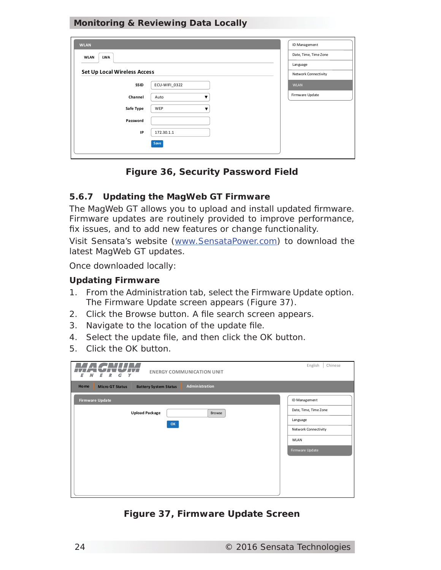| <b>WLAN</b>                         |               | ID Management         |
|-------------------------------------|---------------|-----------------------|
| <b>WLAN</b><br><b>LWA</b>           |               | Date, Time, Time Zone |
|                                     |               | Language              |
| <b>Set Up Local Wireless Access</b> |               | Network Connectivity  |
| SSID                                | ECU-WIFI 0322 | <b>WLAN</b>           |
| Channel                             | Auto<br>╾     | Firmware Update       |
| Safe Type                           | WEP           |                       |
| Password                            |               |                       |
| IP                                  | 172.30.1.1    |                       |
|                                     | Save          |                       |
|                                     |               |                       |

*Figure 36, Security Password Field*

#### **5.6.7 Updating the MagWeb GT Firmware**

The MagWeb GT allows you to upload and install updated firmware. Firmware updates are routinely provided to improve performance, fix issues, and to add new features or change functionality.

Visit Sensata's website (www.SensataPower.com) to download the latest MagWeb GT updates.

*Once downloaded locally:*

#### **Updating Firmware**

- 1. From the *Administration* tab, select the *Firmware Update* option. The Firmware Update screen appears (Figure 37).
- 2. Click the *Browse* button. A file search screen appears.
- 3. Navigate to the location of the update file.
- 4. Select the update file, and then click the OK button.
- 5. Click the *OK* button.

| English<br>Chinese<br><b>ENERGY COMMUNICATION UNIT</b><br>G<br>E<br>R<br>Y<br>Ν<br>E    |                                                                                                              |  |  |  |
|-----------------------------------------------------------------------------------------|--------------------------------------------------------------------------------------------------------------|--|--|--|
| Administration<br><b>Home</b><br><b>Micro GT Status</b><br><b>Battery System Status</b> |                                                                                                              |  |  |  |
| <b>Firmware Update</b><br><b>Upload Package</b><br>Browse<br>OK                         | ID Management<br>Date, Time, Time Zone<br>Language<br>Network Connectivity<br><b>WLAN</b><br>Firmware Update |  |  |  |

*Figure 37, Firmware Update Screen*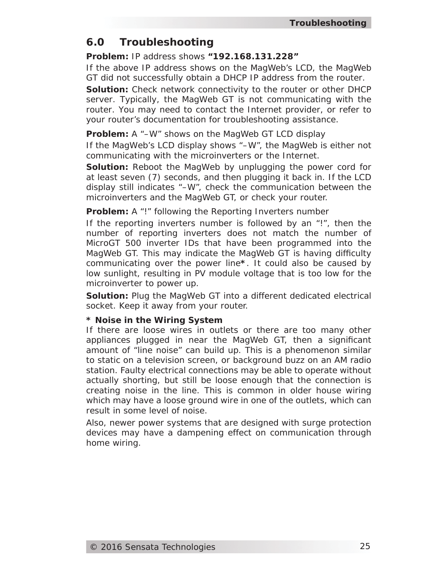# **6.0 Troubleshooting**

#### *Problem:* IP address shows *"192.168.131.228"*

If the above IP address shows on the MagWeb's LCD, the MagWeb GT did not successfully obtain a DHCP IP address from the router.

*Solution:* Check network connectivity to the router or other DHCP server. Typically, the MagWeb GT is not communicating with the router. You may need to contact the Internet provider, or refer to your router's documentation for troubleshooting assistance.

#### **Problem:** A "-W" shows on the MagWeb GT LCD display

If the MagWeb's LCD display shows "*–W*", the MagWeb is either not communicating with the microinverters or the Internet.

**Solution:** Reboot the MagWeb by unplugging the power cord for at least seven (7) seconds, and then plugging it back in. If the LCD display still indicates "–W", check the communication between the microinverters and the MagWeb GT, or check your router.

#### *Problem:* A "!" following the *Reporting Inverters* number

If the reporting inverters number is followed by an "!", then the number of reporting inverters does not match the number of MicroGT 500 inverter IDs that have been programmed into the MagWeb GT. This may indicate the MagWeb GT is having difficulty communicating over the power line**\***. It could also be caused by low sunlight, resulting in PV module voltage that is too low for the microinverter to power up.

*Solution:* Plug the MagWeb GT into a different dedicated electrical socket. Keep it away from your router.

#### **\* Noise in the Wiring System**

If there are loose wires in outlets or there are too many other appliances plugged in near the MagWeb GT, then a significant amount of "line noise" can build up. This is a phenomenon similar to static on a television screen, or background buzz on an AM radio station. Faulty electrical connections may be able to operate without actually shorting, but still be loose enough that the connection is creating noise in the line. This is common in older house wiring which may have a loose ground wire in one of the outlets, which can result in some level of noise.

Also, newer power systems that are designed with surge protection devices may have a dampening effect on communication through home wiring.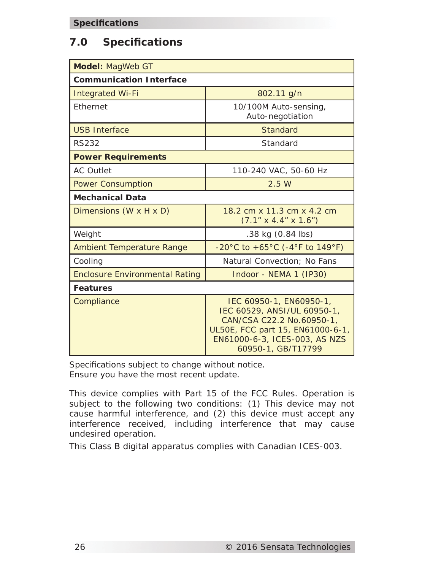# **7.0 Specifi cations**

| Model: MagWeb GT                      |                                                                                                                                                                                |  |  |
|---------------------------------------|--------------------------------------------------------------------------------------------------------------------------------------------------------------------------------|--|--|
| <b>Communication Interface</b>        |                                                                                                                                                                                |  |  |
| <b>Integrated Wi-Fi</b>               | 802.11 g/n                                                                                                                                                                     |  |  |
| Ethernet                              | 10/100M Auto-sensing,<br>Auto-negotiation                                                                                                                                      |  |  |
| <b>USB Interface</b>                  | <b>Standard</b>                                                                                                                                                                |  |  |
| <b>RS232</b>                          | Standard                                                                                                                                                                       |  |  |
| <b>Power Requirements</b>             |                                                                                                                                                                                |  |  |
| <b>AC Outlet</b>                      | 110-240 VAC, 50-60 Hz                                                                                                                                                          |  |  |
| <b>Power Consumption</b>              | 2.5W                                                                                                                                                                           |  |  |
| <b>Mechanical Data</b>                |                                                                                                                                                                                |  |  |
| Dimensions $(W \times H \times D)$    | 18.2 cm x 11.3 cm x 4.2 cm<br>$(7.1" \times 4.4" \times 1.6")$                                                                                                                 |  |  |
| Weight                                | $.38$ kg $(0.84$ lbs)                                                                                                                                                          |  |  |
| <b>Ambient Temperature Range</b>      | $-20^{\circ}$ C to $+65^{\circ}$ C (-4°F to 149°F)                                                                                                                             |  |  |
| Cooling                               | Natural Convection; No Fans                                                                                                                                                    |  |  |
| <b>Enclosure Environmental Rating</b> | Indoor - NEMA 1 (IP30)                                                                                                                                                         |  |  |
| <b>Features</b>                       |                                                                                                                                                                                |  |  |
| Compliance                            | IEC 60950-1, EN60950-1,<br>IEC 60529, ANSI/UL 60950-1,<br>CAN/CSA C22.2 No.60950-1,<br>UL50E, FCC part 15, EN61000-6-1,<br>EN61000-6-3, ICES-003, AS NZS<br>60950-1, GB/T17799 |  |  |

*Specifi cations subject to change without notice. Ensure you have the most recent update.*

This device complies with Part 15 of the FCC Rules. Operation is subject to the following two conditions: (1) This device may not cause harmful interference, and (2) this device must accept any interference received, including interference that may cause undesired operation.

This Class B digital apparatus complies with Canadian ICES-003.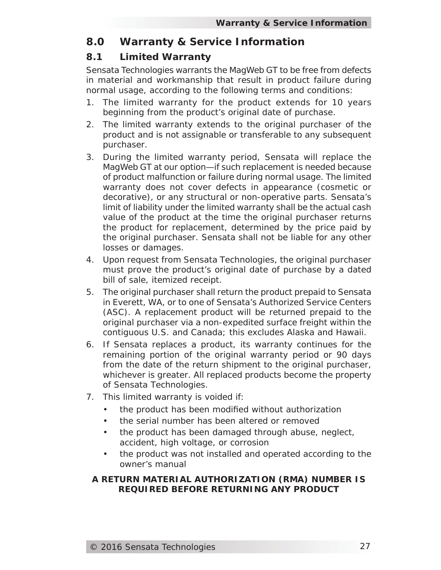# **8.0 Warranty & Service Information**

# **8.1 Limited Warranty**

Sensata Technologies warrants the MagWeb GT to be free from defects in material and workmanship that result in product failure during normal usage, according to the following terms and conditions:

- 1. The limited warranty for the product extends for 10 years beginning from the product's original date of purchase.
- 2. The limited warranty extends to the original purchaser of the product and is not assignable or transferable to any subsequent purchaser.
- 3. During the limited warranty period, Sensata will replace the MagWeb GT at our option—if such replacement is needed because of product malfunction or failure during normal usage. The limited warranty does not cover defects in appearance (cosmetic or decorative), or any structural or non-operative parts. Sensata's limit of liability under the limited warranty shall be the actual cash value of the product at the time the original purchaser returns the product for replacement, determined by the price paid by the original purchaser. Sensata shall not be liable for any other losses or damages.
- 4. Upon request from Sensata Technologies, the original purchaser must prove the product's original date of purchase by a dated bill of sale, itemized receipt.
- 5. The original purchaser shall return the product prepaid to Sensata in Everett, WA, or to one of Sensata's Authorized Service Centers (ASC). A replacement product will be returned prepaid to the original purchaser via a non-expedited surface freight within the contiguous U.S. and Canada; this excludes Alaska and Hawaii.
- 6. If Sensata replaces a product, its warranty continues for the remaining portion of the original warranty period or 90 days from the date of the return shipment to the original purchaser, whichever is greater. All replaced products become the property of Sensata Technologies.
- 7. This limited warranty is voided if:
	- the product has been modified without authorization
	- the serial number has been altered or removed
	- the product has been damaged through abuse, neglect, accident, high voltage, or corrosion
	- the product was not installed and operated according to the owner's manual

#### **A RETURN MATERIAL AUTHORIZATION (RMA) NUMBER IS REQUIRED BEFORE RETURNING ANY PRODUCT**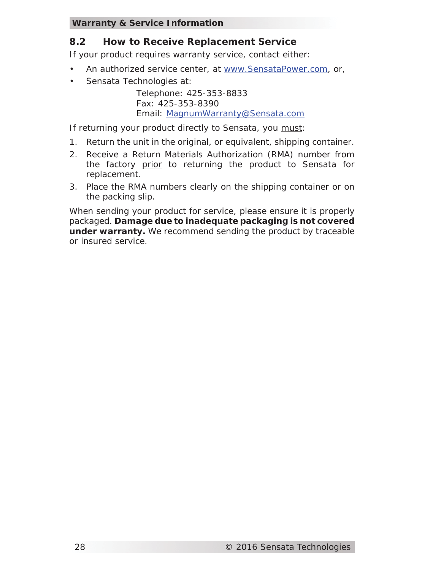#### **Warranty & Service Information**

# **8.2 How to Receive Replacement Service**

If your product requires warranty service, contact either:

- An authorized service center, at www.SensataPower.com, or,
- Sensata Technologies at:

Telephone: 425-353-8833 Fax: 425-353-8390 Email: MagnumWarranty@Sensata.com

If returning your product directly to Sensata, you must:

- 1. Return the unit in the original, or equivalent, shipping container.
- 2. Receive a Return Materials Authorization (RMA) number from the factory prior to returning the product to Sensata for replacement.
- 3. Place the RMA numbers clearly on the shipping container or on the packing slip.

When sending your product for service, please ensure it is properly packaged. **Damage due to inadequate packaging is not covered under warranty.** We recommend sending the product by traceable or insured service.